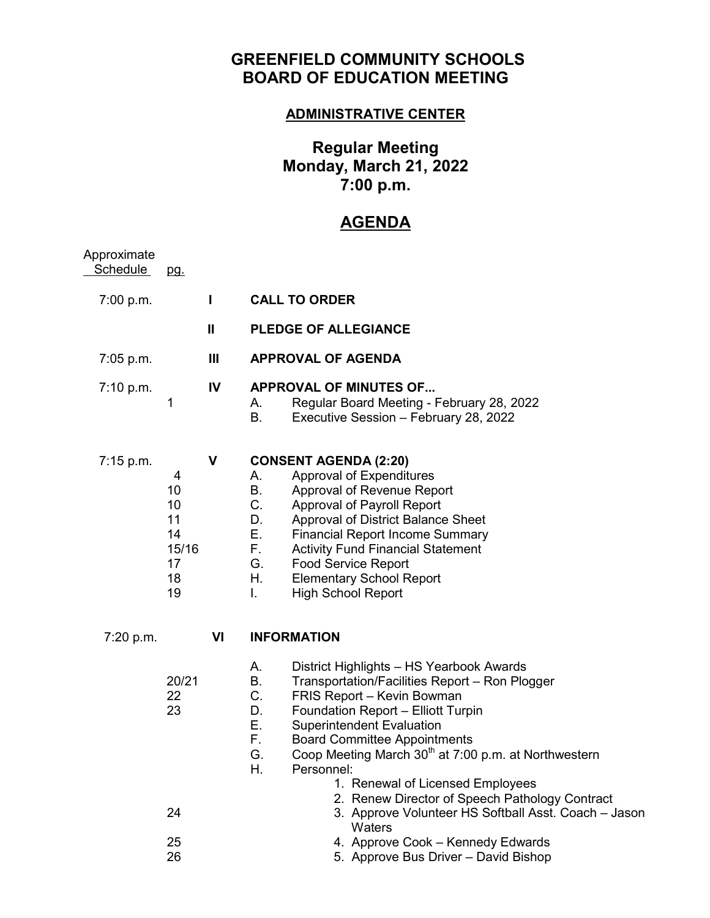## **GREENFIELD COMMUNITY SCHOOLS BOARD OF EDUCATION MEETING**

### **ADMINISTRATIVE CENTER**

# **Regular Meeting Monday, March 21, 2022 7:00 p.m.**

# **AGENDA**

| Approximate<br><b>Schedule</b> | pg.                                                  |    |                                                                                                                                                                                                                                                                                                                                                                                                                 |
|--------------------------------|------------------------------------------------------|----|-----------------------------------------------------------------------------------------------------------------------------------------------------------------------------------------------------------------------------------------------------------------------------------------------------------------------------------------------------------------------------------------------------------------|
| 7:00 p.m.                      |                                                      | L  | <b>CALL TO ORDER</b>                                                                                                                                                                                                                                                                                                                                                                                            |
|                                |                                                      | Ш  | <b>PLEDGE OF ALLEGIANCE</b>                                                                                                                                                                                                                                                                                                                                                                                     |
| 7:05 p.m.                      |                                                      | Ш  | <b>APPROVAL OF AGENDA</b>                                                                                                                                                                                                                                                                                                                                                                                       |
| 7:10 p.m.                      | 1                                                    | IV | <b>APPROVAL OF MINUTES OF</b><br>Regular Board Meeting - February 28, 2022<br>А.<br>В.<br>Executive Session - February 28, 2022                                                                                                                                                                                                                                                                                 |
| 7:15 p.m.                      | 4<br>10<br>10<br>11<br>14<br>15/16<br>17<br>18<br>19 | V  | <b>CONSENT AGENDA (2:20)</b><br>Approval of Expenditures<br>А.<br>Β.<br>Approval of Revenue Report<br>C.<br>Approval of Payroll Report<br>D.<br>Approval of District Balance Sheet<br>Е.<br><b>Financial Report Income Summary</b><br>F.<br><b>Activity Fund Financial Statement</b><br>G.<br><b>Food Service Report</b><br>Η.<br><b>Elementary School Report</b><br>L.<br><b>High School Report</b>            |
| 7:20 p.m.                      |                                                      | VI | <b>INFORMATION</b>                                                                                                                                                                                                                                                                                                                                                                                              |
|                                | 20/21<br>22<br>23                                    |    | А.<br>District Highlights - HS Yearbook Awards<br>В.<br>Transportation/Facilities Report - Ron Plogger<br>C.<br>FRIS Report - Kevin Bowman<br>D.<br>Foundation Report - Elliott Turpin<br>Ε.<br><b>Superintendent Evaluation</b><br>F.<br><b>Board Committee Appointments</b><br>Coop Meeting March 30 <sup>th</sup> at 7:00 p.m. at Northwestern<br>G.<br>Η.<br>Personnel:<br>1. Renewal of Licensed Employees |
|                                | 24                                                   |    | 2. Renew Director of Speech Pathology Contract<br>3. Approve Volunteer HS Softball Asst. Coach - Jason<br>Waters                                                                                                                                                                                                                                                                                                |
|                                | 25<br>26                                             |    | 4. Approve Cook - Kennedy Edwards<br>5. Approve Bus Driver - David Bishop                                                                                                                                                                                                                                                                                                                                       |